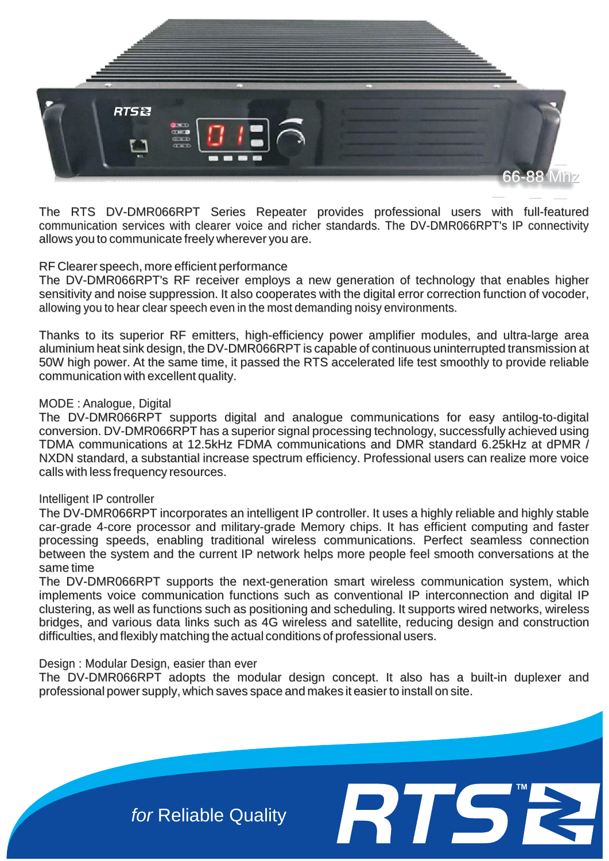

The RTS DV-DMR066RPT Series Repeater provides professional users with full-featured communication services with clearer voice and richer standards. The DV-DMR066RPT's IP connectivity allows you to communicate freely wherever you are.

## RF Clearer speech, more efficient performance

The DV-DMR066RPT's RF receiver employs a new generation of technology that enables higher sensitivity and noise suppression. It also cooperates with the digital error correction function of vocoder, allowing you to hear clear speech even in the most demanding noisy environments.

Thanks to its superior RF emitters, high-efficiency power amplifier modules, and ultra-large area aluminium heat sink design, the DV-DMR066RPT is capable of continuous uninterrupted transmission at 50W high power. At the same time, it passed the RTS accelerated life test smoothly to provide reliable communication with excellent quality.

## MODE : Analogue, Digital

The DV-DMR066RPT supports digital and analogue communications for easy antilog-to-digital conversion. DV-DMR066RPT has a superior signal processing technology, successfully achieved using TDMA communications at 12.5kHz FDMA communications and DMR standard 6.25kHz at dPMR / NXDN standard, a substantial increase spectrum efficiency. Professional users can realize more voice calls with less frequency resources.

### Intelligent IP controller

The DV-DMR066RPT incorporates an intelligent IP controller. It uses a highly reliable and highly stable car-grade 4-core processor and military-grade Memory chips. It has efficient computing and faster processing speeds, enabling traditional wireless communications. Perfect seamless connection between the system and the current IP network helps more people feel smooth conversations at the same time

The DV-DMR066RPT supports the next-generation smart wireless communication system, which implements voice communication functions such as conventional IP interconnection and digital IP clustering, as well as functions such as positioning and scheduling. It supports wired networks, wireless bridges, and various data links such as 4G wireless and satellite, reducing design and construction difficulties, and flexibly matching the actual conditions of professional users.

### Design : Modular Design, easier than ever

The DV-DMR066RPT adopts the modular design concept. It also has a built-in duplexer and professional power supply, which saves space and makes it easier to install on site.

**™**